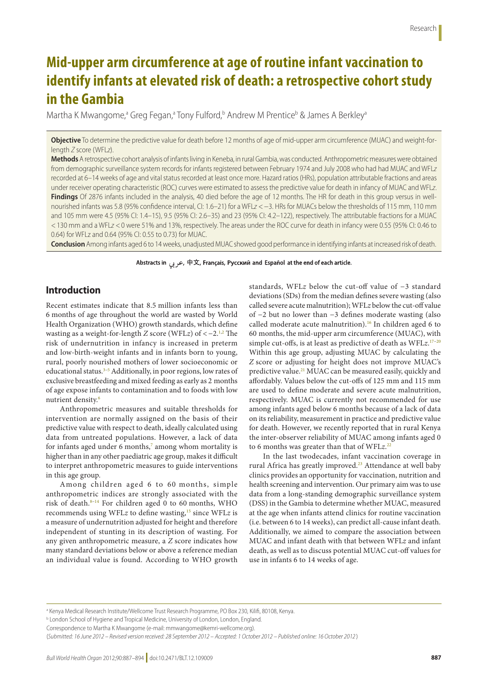# **Mid-upper arm circumference at age of routine infant vaccination to identify infants at elevated risk of death: a retrospective cohort study in the Gambia**

Martha K Mwangome,<sup>a</sup> Greg Fegan,<sup>a</sup> Tony Fulford,<sup>b</sup> Andrew M Prentice<sup>b</sup> & James A Berkley<sup>a</sup>

**Objective** To determine the predictive value for death before 12 months of age of mid-upper arm circumference (MUAC) and weight-forlength *Z* score (WFL*z*).

**Methods** A retrospective cohort analysis of infants living in Keneba, in rural Gambia, was conducted. Anthropometric measures were obtained from demographic surveillance system records for infants registered between February 1974 and July 2008 who had had MUAC and WFL*z* recorded at 6–14 weeks of age and vital status recorded at least once more. Hazard ratios (HRs), population attributable fractions and areas under receiver operating characteristic (ROC) curves were estimated to assess the predictive value for death in infancy of MUAC and WFL*z*. **Findings** Of 2876 infants included in the analysis, 40 died before the age of 12 months. The HR for death in this group versus in wellnourished infants was 5.8 (95% confidence interval, CI: 1.6–21) for a WFL*z* <−3. HRs for MUACs below the thresholds of 115 mm, 110 mm and 105 mm were 4.5 (95% CI: 1.4–15), 9.5 (95% CI: 2.6–35) and 23 (95% CI: 4.2–122), respectively. The attributable fractions for a MUAC <130 mm and a WFL*z* <0 were 51% and 13%, respectively. The areas under the ROC curve for death in infancy were 0.55 (95% CI: 0.46 to 0.64) for WFLz and 0.64 (95% CI: 0.55 to 0.73) for MUAC.

**Conclusion** Among infants aged 6 to 14 weeks, unadjusted MUAC showed good performance in identifying infants at increased risk of death.

Abstracts in هربی, 中文, Français, Русский and Español at the end of each article.

## **Introduction**

Recent estimates indicate that 8.5 million infants less than 6 months of age throughout the world are wasted by World Health Organization (WHO) growth standards, which define wasting as a weight-for-length *Z* score (WFL*z*) of <−2.[1](#page-6-0),[2](#page-6-1) The risk of undernutrition in infancy is increased in preterm and low-birth-weight infants and in infants born to young, rural, poorly nourished mothers of lower socioeconomic or educational status.<sup>[3](#page-6-2)-5</sup> Additionally, in poor regions, low rates of exclusive breastfeeding and mixed feeding as early as 2 months of age expose infants to contamination and to foods with low nutrient density.[6](#page-6-4)

Anthropometric measures and suitable thresholds for intervention are normally assigned on the basis of their predictive value with respect to death, ideally calculated using data from untreated populations. However, a lack of data for infants aged under 6 months, $7$  among whom mortality is higher than in any other paediatric age group, makes it difficult to interpret anthropometric measures to guide interventions in this age group.

Among children aged 6 to 60 months, simple anthropometric indices are strongly associated with the risk of death. $8-14$  $8-14$  For children aged 0 to 60 months, WHO recommends using WFLz to define wasting,<sup>15</sup> since WFLz is a measure of undernutrition adjusted for height and therefore independent of stunting in its description of wasting. For any given anthropometric measure, a *Z* score indicates how many standard deviations below or above a reference median an individual value is found. According to WHO growth standards, WFL*z* below the cut-off value of −3 standard deviations (SDs) from the median defines severe wasting (also called severe acute malnutrition); WFL*z* below the cut-off value of −2 but no lower than −3 defines moderate wasting (also called moderate acute malnutrition).[16](#page-7-2) In children aged 6 to 60 months, the mid-upper arm circumference (MUAC), with simple cut-offs, is at least as predictive of death as WFL*z*. [17–](#page-7-3)[20](#page-7-4) Within this age group, adjusting MUAC by calculating the *Z* score or adjusting for height does not improve MUAC's predictive value.<sup>[21](#page-7-5)</sup> MUAC can be measured easily, quickly and affordably. Values below the cut-offs of 125 mm and 115 mm are used to define moderate and severe acute malnutrition, respectively. MUAC is currently not recommended for use among infants aged below 6 months because of a lack of data on its reliability, measurement in practice and predictive value for death. However, we recently reported that in rural Kenya the inter-observer reliability of MUAC among infants aged 0 to 6 months was greater than that of WFLz.<sup>[22](#page-7-6)</sup>

In the last twodecades, infant vaccination coverage in rural Africa has greatly improved.<sup>[23](#page-7-7)</sup> Attendance at well baby clinics provides an opportunity for vaccination, nutrition and health screening and intervention. Our primary aim was to use data from a long-standing demographic surveillance system (DSS) in the Gambia to determine whether MUAC, measured at the age when infants attend clinics for routine vaccination (i.e. between 6 to 14 weeks), can predict all-cause infant death. Additionally, we aimed to compare the association between MUAC and infant death with that between WFL*z* and infant death, as well as to discuss potential MUAC cut-off values for use in infants 6 to 14 weeks of age.

a Kenya Medical Research Institute/Wellcome Trust Research Programme, PO Box 230, Kilifi, 80108, Kenya.

**b** London School of Hygiene and Tropical Medicine, University of London, London, England.

Correspondence to Martha K Mwangome (e-mail: mmwangome@kemri-wellcome.org).

<sup>(</sup>*Submitted: 16 June 2012 – Revised version received: 28 September 2012 – Accepted: 1 October 2012 – Published online: 16 October 2012* )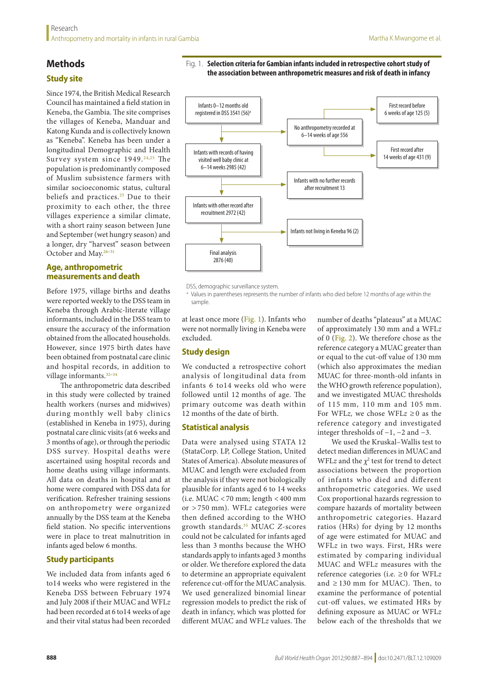# **Methods**

# **Study site**

Since 1974, the British Medical Research Council has maintained a field station in Keneba, the Gambia. The site comprises the villages of Keneba, Manduar and Katong Kunda and is collectively known as "Keneba". Keneba has been under a longitudinal Demographic and Health Survey system since 1949.<sup>[24](#page-7-8),[25](#page-7-9)</sup> The population is predominantly composed of Muslim subsistence farmers with similar socioeconomic status, cultural beliefs and practices.<sup>25</sup> Due to their proximity to each other, the three villages experience a similar climate, with a short rainy season between June and September (wet hungry season) and a longer, dry "harvest" season between October and May[.26–](#page-7-10)[31](#page-7-11)

#### **Age, anthropometric measurements and death**

Before 1975, village births and deaths were reported weekly to the DSS team in Keneba through Arabic-literate village informants, included in the DSS team to ensure the accuracy of the information obtained from the allocated households. However, since 1975 birth dates have been obtained from postnatal care clinic and hospital records, in addition to village informants.<sup>32-[34](#page-7-13)</sup>

The anthropometric data described in this study were collected by trained health workers (nurses and midwives) during monthly well baby clinics (established in Keneba in 1975), during postnatal care clinic visits (at 6 weeks and 3 months of age), or through the periodic DSS survey. Hospital deaths were ascertained using hospital records and home deaths using village informants. All data on deaths in hospital and at home were compared with DSS data for verification. Refresher training sessions on anthropometry were organized annually by the DSS team at the Keneba field station. No specific interventions were in place to treat malnutrition in infants aged below 6 months.

## **Study participants**

We included data from infants aged 6 to14 weeks who were registered in the Keneba DSS between February 1974 and July 2008 if their MUAC and WFL*z* had been recorded at 6 to14 weeks of age and their vital status had been recorded

<span id="page-1-0"></span>



DSS, demographic surveillance system.

<sup>a</sup> Values in parentheses represents the number of infants who died before 12 months of age within the sample.

at least once more ([Fig.](#page-1-0) 1). Infants who were not normally living in Keneba were excluded.

#### **Study design**

We conducted a retrospective cohort analysis of longitudinal data from infants 6 to14 weeks old who were followed until 12 months of age. The primary outcome was death within 12 months of the date of birth.

#### **Statistical analysis**

Data were analysed using STATA 12 (StataCorp. LP, College Station, United States of America). Absolute measures of MUAC and length were excluded from the analysis if they were not biologically plausible for infants aged 6 to 14 weeks (i.e.  $MUAC < 70$  mm; length  $< 400$  mm or > 750 mm). WFL*z* categories were then defined according to the WHO growth standards.[35](#page-7-14) MUAC *Z*-scores could not be calculated for infants aged less than 3 months because the WHO standards apply to infants aged 3 months or older. We therefore explored the data to determine an appropriate equivalent reference cut-off for the MUAC analysis. We used generalized binomial linear regression models to predict the risk of death in infancy, which was plotted for different MUAC and WFL*z* values. The

number of deaths "plateaus" at a MUAC of approximately 130 mm and a WFL*z* of 0 [\(Fig.](#page-2-0) 2). We therefore chose as the reference category a MUAC greater than or equal to the cut-off value of 130 mm (which also approximates the median MUAC for three-month-old infants in the WHO growth reference population), and we investigated MUAC thresholds of 115 mm, 110 mm and 105 mm. For WFL*z*, we chose WFL $z \geq 0$  as the reference category and investigated integer thresholds of −1, −2 and −3.

We used the Kruskal–Wallis test to detect median differences in MUAC and WFL*z* and the  $\chi^2$  test for trend to detect associations between the proportion of infants who died and different anthropometric categories. We used Cox proportional hazards regression to compare hazards of mortality between anthropometric categories. Hazard ratios (HRs) for dying by 12 months of age were estimated for MUAC and WFL*z* in two ways. First, HRs were estimated by comparing individual MUAC and WFL*z* measures with the reference categories (i.e. ≥ 0 for WFL*z* and  $\geq$  130 mm for MUAC). Then, to examine the performance of potential cut-off values, we estimated HRs by defining exposure as MUAC or WFL*z* below each of the thresholds that we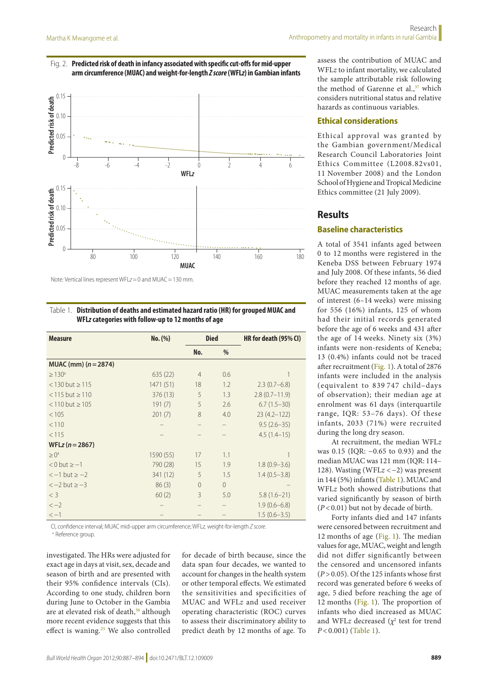#### <span id="page-2-0"></span>Fig. 2. **Predicted risk of death in infancy associated with specific cut-offs for mid-upper arm circumference (MUAC) and weight-for-length** *Zscore* **(WFL***z***) in Gambian infants**



Note: Vertical lines represent WFL*z*=0 and MUAC=130 mm.

<span id="page-2-1"></span>Table 1. **Distribution of deaths and estimated hazard ratio (HR) for grouped MUAC and WFL***z* **categories with follow-up to 12months of age**

| <b>Measure</b>        | No. (%)   | <b>Died</b>    |          | HR for death (95% CI) |
|-----------------------|-----------|----------------|----------|-----------------------|
|                       |           | No.            | %        |                       |
| MUAC (mm) $(n=2874)$  |           |                |          |                       |
| $\geq 130^{\circ}$    | 635(22)   | $\overline{4}$ | 0.6      |                       |
| $<$ 130 but $\ge$ 115 | 1471 (51) | 18             | 1.2      | $2.3(0.7-6.8)$        |
| $<$ 115 but $\ge$ 110 | 376 (13)  | 5              | 1.3      | $2.8(0.7-11.9)$       |
| $< 110$ but $\ge 105$ | 191(7)    | 5              | 2.6      | $6.7(1.5-30)$         |
| < 105                 | 201(7)    | 8              | 4.0      | $23(4.2 - 122)$       |
| < 110                 |           |                |          | $9.5(2.6-35)$         |
| < 115                 |           |                |          | $4.5(1.4-15)$         |
| $WFLz (n = 2867)$     |           |                |          |                       |
| $\geq 0^a$            | 1590 (55) | 17             | 1.1      |                       |
| $< 0$ but $\ge -1$    | 790 (28)  | 15             | 1.9      | $1.8(0.9 - 3.6)$      |
| $<-1$ but $\geq -2$   | 341 (12)  | 5              | 1.5      | $1.4(0.5-3.8)$        |
| $<-2$ but $>-3$       | 86(3)     | $\Omega$       | $\Omega$ |                       |
| $<$ 3                 | 60(2)     | 3              | 5.0      | $5.8(1.6-21)$         |
| $<-2$                 |           |                |          | $1.9(0.6 - 6.8)$      |
| $<-1$                 |           |                |          | $1.5(0.6 - 3.5)$      |

CI, confidence interval; MUAC mid-upper arm circumference; WFL*z,* weight-for-length *Z score*.

<sup>a</sup> Reference group.

investigated. The HRs were adjusted for exact age in days at visit, sex, decade and season of birth and are presented with their 95% confidence intervals (CIs). According to one study, children born during June to October in the Gambia are at elevated risk of death,<sup>36</sup> although more recent evidence suggests that this effect is waning.<sup>[25](#page-7-9)</sup> We also controlled

for decade of birth because, since the data span four decades, we wanted to account for changes in the health system or other temporal effects. We estimated the sensitivities and specificities of MUAC and WFL*z* and used receiver operating characteristic (ROC) curves to assess their discriminatory ability to predict death by 12 months of age. To

assess the contribution of MUAC and WFL*z* to infant mortality, we calculated the sample attributable risk following the method of Garenne et al.,<sup>37</sup> which considers nutritional status and relative hazards as continuous variables.

#### **Ethical considerations**

Ethical approval was granted by the Gambian government/Medical Research Council Laboratories Joint Ethics Committee (L2008.82vs01, 11 November 2008) and the London School of Hygiene and Tropical Medicine Ethics committee (21 July 2009).

## **Results**

## **Baseline characteristics**

A total of 3541 infants aged between 0 to 12 months were registered in the Keneba DSS between February 1974 and July 2008. Of these infants, 56 died before they reached 12 months of age. MUAC measurements taken at the age of interest (6–14 weeks) were missing for 556 (16%) infants, 125 of whom had their initial records generated before the age of 6 weeks and 431 after the age of 14 weeks. Ninety six (3%) infants were non-residents of Keneba; 13 (0.4%) infants could not be traced after recruitment [\(Fig.](#page-1-0) 1). A total of 2876 infants were included in the analysis (equivalent to 839 747 child–days of observation); their median age at enrolment was 61 days (interquartile range, IQR: 53–76 days). Of these infants, 2033 (71%) were recruited during the long dry season.

At recruitment, the median WFL*z* was 0.15 (IQR: −0.65 to 0.93) and the median MUAC was 121 mm (IQR: 114– 128). Wasting (WFL*z* <−2) was present in 144 (5%) infants ([Table](#page-2-1) 1). MUAC and WFL*z* both showed distributions that varied significantly by season of birth (*P* < 0.01) but not by decade of birth.

Forty infants died and 147 infants were censored between recruitment and 12 months of age ([Fig.](#page-1-0) 1). The median values for age, MUAC, weight and length did not differ significantly between the censored and uncensored infants  $(P > 0.05)$ . Of the 125 infants whose first record was generated before 6 weeks of age, 5 died before reaching the age of 12 months ([Fig.](#page-1-0) 1). The proportion of infants who died increased as MUAC and WFLz decreased  $(\chi^2)$  test for trend *P* < 0.001) ([Table](#page-2-1) 1).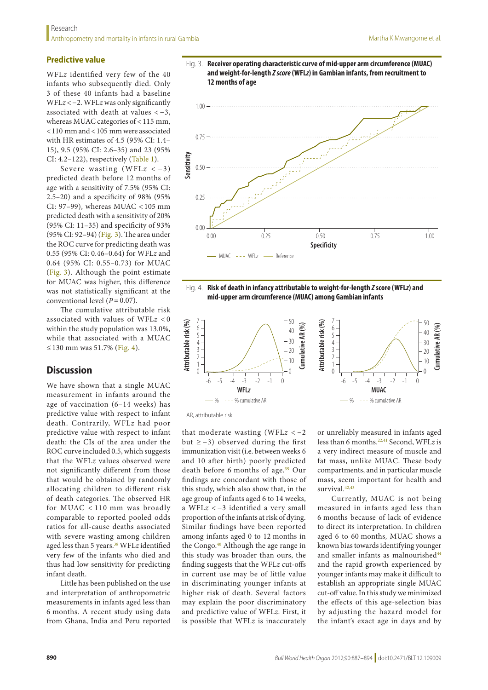## **Predictive value**

WFL*z* identified very few of the 40 infants who subsequently died. Only 3 of these 40 infants had a baseline WFL*z* <−2. WFL*z* was only significantly associated with death at values < −3, whereas MUAC categories of < 115 mm, <110 mm and <105 mm were associated with HR estimates of 4.5 (95% CI: 1.4– 15), 9.5 (95% CI: 2.6–35) and 23 (95% CI: 4.2–122), respectively ([Table](#page-2-1) 1).

Severe wasting (WFL*z* < −3) predicted death before 12 months of age with a sensitivity of 7.5% (95% CI: 2.5–20) and a specificity of 98% (95% CI: 97–99), whereas MUAC < 105 mm predicted death with a sensitivity of 20% (95% CI: 11–35) and specificity of 93% (95% CI: 92–94) [\(Fig.](#page-3-0) 3). The area under the ROC curve for predicting death was 0.55 (95% CI: 0.46–0.64) for WFL*z* and 0.64 (95% CI: 0.55–0.73) for MUAC ([Fig.](#page-3-0) 3). Although the point estimate for MUAC was higher, this difference was not statistically significant at the conventional level (*P*=0.07).

The cumulative attributable risk associated with values of WFL*z* < 0 within the study population was 13.0%, while that associated with a MUAC ≤ 130 mm was 51.7% ([Fig.](#page-3-1) 4).

#### **Discussion**

We have shown that a single MUAC measurement in infants around the age of vaccination (6–14 weeks) has predictive value with respect to infant death. Contrarily, WFL*z* had poor predictive value with respect to infant death: the CIs of the area under the ROC curve included 0.5, which suggests that the WFL*z* values observed were not significantly different from those that would be obtained by randomly allocating children to different risk of death categories. The observed HR for MUAC < 110 mm was broadly comparable to reported pooled odds ratios for all-cause deaths associated with severe wasting among children aged less than 5 years.[38](#page-7-17) WFL*z* identified very few of the infants who died and thus had low sensitivity for predicting infant death.

Little has been published on the use and interpretation of anthropometric measurements in infants aged less than 6 months. A recent study using data from Ghana, India and Peru reported

<span id="page-3-0"></span>



<span id="page-3-1"></span>



AR, attributable risk.

that moderate wasting (WFL*z* < −2 but  $≥$  –3) observed during the first immunization visit (i.e. between weeks 6 and 10 after birth) poorly predicted death before 6 months of age.<sup>[39](#page-7-18)</sup> Our findings are concordant with those of this study, which also show that, in the age group of infants aged 6 to 14 weeks, a WFL*z* < −3 identified a very small proportion of the infants at risk of dying. Similar findings have been reported among infants aged 0 to 12 months in the Congo.<sup>[40](#page-7-19)</sup> Although the age range in this study was broader than ours, the finding suggests that the WFL*z* cut-offs in current use may be of little value in discriminating younger infants at higher risk of death. Several factors may explain the poor discriminatory and predictive value of WFL*z*. First, it is possible that WFL*z* is inaccurately

or unreliably measured in infants aged less than 6 months.<sup>[22](#page-7-6),[41](#page-7-20)</sup> Second, WFLz is a very indirect measure of muscle and fat mass, unlike MUAC. These body compartments, and in particular muscle mass, seem important for health and survival.<sup>[42](#page-7-21)[,43](#page-7-22)</sup>

Currently, MUAC is not being measured in infants aged less than 6 months because of lack of evidence to direct its interpretation. In children aged 6 to 60 months, MUAC shows a known bias towards identifying younger and smaller infants as malnourished<sup>44</sup> and the rapid growth experienced by younger infants may make it difficult to establish an appropriate single MUAC cut-off value. In this study we minimized the effects of this age-selection bias by adjusting the hazard model for the infant's exact age in days and by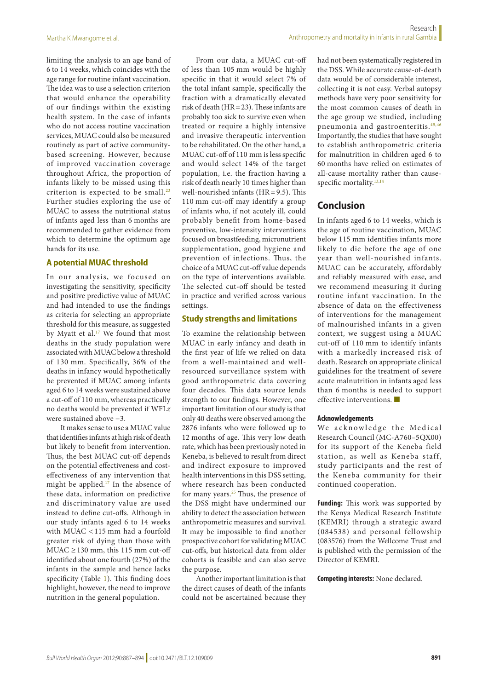limiting the analysis to an age band of 6 to 14 weeks, which coincides with the age range for routine infant vaccination. The idea was to use a selection criterion that would enhance the operability of our findings within the existing health system. In the case of infants who do not access routine vaccination services, MUAC could also be measured routinely as part of active communitybased screening. However, because of improved vaccination coverage throughout Africa, the proportion of infants likely to be missed using this criterion is expected to be small. $23$ Further studies exploring the use of MUAC to assess the nutritional status of infants aged less than 6 months are recommended to gather evidence from which to determine the optimum age bands for its use.

## **A potential MUAC threshold**

In our analysis, we focused on investigating the sensitivity, specificity and positive predictive value of MUAC and had intended to use the findings as criteria for selecting an appropriate threshold for this measure, as suggested by Myatt et al.<sup>[17](#page-7-3)</sup> We found that most deaths in the study population were associated with MUAC below a threshold of 130 mm. Specifically, 36% of the deaths in infancy would hypothetically be prevented if MUAC among infants aged 6 to 14 weeks were sustained above a cut-off of 110 mm, whereas practically no deaths would be prevented if WFL*z* were sustained above −3.

It makes sense to use a MUAC value that identifies infants at high risk of death but likely to benefit from intervention. Thus, the best MUAC cut-off depends on the potential effectiveness and costeffectiveness of any intervention that might be applied[.17](#page-7-3) In the absence of these data, information on predictive and discriminatory value are used instead to define cut-offs. Although in our study infants aged 6 to 14 weeks with MUAC < 115 mm had a fourfold greater risk of dying than those with  $MUAC \ge 130$  mm, this 115 mm cut-off identified about one fourth (27%) of the infants in the sample and hence lacks specificity (Table [1\)](#page-1-0). This finding does highlight, however, the need to improve nutrition in the general population.

From our data, a MUAC cut-off of less than 105 mm would be highly specific in that it would select 7% of the total infant sample, specifically the fraction with a dramatically elevated risk of death (HR=23). These infants are probably too sick to survive even when treated or require a highly intensive and invasive therapeutic intervention to be rehabilitated. On the other hand, a MUAC cut-off of 110 mm is less specific and would select 14% of the target population, i.e. the fraction having a risk of death nearly 10 times higher than well-nourished infants (HR = 9.5). This 110 mm cut-off may identify a group of infants who, if not acutely ill, could probably benefit from home-based preventive, low-intensity interventions focused on breastfeeding, micronutrient supplementation, good hygiene and prevention of infections. Thus, the choice of a MUAC cut-off value depends on the type of interventions available. The selected cut-off should be tested in practice and verified across various settings.

#### **Study strengths and limitations**

To examine the relationship between MUAC in early infancy and death in the first year of life we relied on data from a well-maintained and wellresourced surveillance system with good anthropometric data covering four decades. This data source lends strength to our findings. However, one important limitation of our study is that only 40 deaths were observed among the 2876 infants who were followed up to 12 months of age. This very low death rate, which has been previously noted in Keneba, is believed to result from direct and indirect exposure to improved health interventions in this DSS setting, where research has been conducted for many years. $25$  Thus, the presence of the DSS might have undermined our ability to detect the association between anthropometric measures and survival. It may be impossible to find another prospective cohort for validating MUAC cut-offs, but historical data from older cohorts is feasible and can also serve the purpose.

Another important limitation is that the direct causes of death of the infants could not be ascertained because they

had not been systematically registered in the DSS. While accurate cause-of-death data would be of considerable interest, collecting it is not easy. Verbal autopsy methods have very poor sensitivity for the most common causes of death in the age group we studied, including pneumonia and gastroenteritis.[45](#page-7-24),[46](#page-7-25) Importantly, the studies that have sought to establish anthropometric criteria for malnutrition in children aged 6 to 60 months have relied on estimates of all-cause mortality rather than cause-specific mortality.<sup>13,[14](#page-7-0)</sup>

## **Conclusion**

In infants aged 6 to 14 weeks, which is the age of routine vaccination, MUAC below 115 mm identifies infants more likely to die before the age of one year than well-nourished infants. MUAC can be accurately, affordably and reliably measured with ease, and we recommend measuring it during routine infant vaccination. In the absence of data on the effectiveness of interventions for the management of malnourished infants in a given context, we suggest using a MUAC cut-off of 110 mm to identify infants with a markedly increased risk of death. Research on appropriate clinical guidelines for the treatment of severe acute malnutrition in infants aged less than 6 months is needed to support effective interventions.

#### **Acknowledgements**

We acknowledge the Medical Research Council (MC-A760–5QX00) for its support of the Keneba field station, as well as Keneba staff, study participants and the rest of the Keneba community for their continued cooperation.

**Funding:** This work was supported by the Kenya Medical Research Institute (KEMRI) through a strategic award (084538) and personal fellowship (083576) from the Wellcome Trust and is published with the permission of the Director of KEMRI.

**Competing interests:** None declared.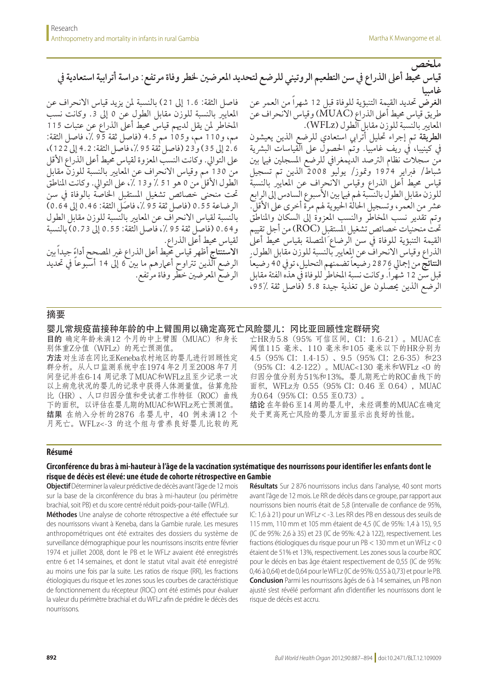**ملخص**

قياس محيط أعلى الذراع في سن التطعيم الروتيني للرضع لتحديد المعرضين لخطر وفاة مرتفع: دراسة أترابية استعادية في **غامبيا**

فاصل الثقة: 1.6 إىل 21( بالنسبة ملن يزيد قياس االنحراف عن المعايير بالنسبة للوزن مقابل الطول عن 0 إلى 3. وكانت نسب املخاطر ملن يقل لدهيم قياس حميط أعىل الذراع عن عتبات 115 مم، و110 مم، و105 مم 4.5 )فاصل ثقة 95 ،% فاصل الثقة: 2.6 إىل 35( و23 )فاصل ثقة 95 ،% فاصل الثقة: 4.2 إىل 122(، على التوالي. وكانت النسب المعزوة لقياس محيط أعلى الذراع الأقل من 130 مم وقياس الانحراف عن المعايير بالنسبة للوزن مقابل الطول الأقل من 0 هو 51 ٪ و13 ٪، على التوالي. وكانت المناطق حتت منحنى خصائص تشغيل املستقبِل اخلاصة بالوفاة يف سن الرضاعة 0.55 )فاصل ثقة 95 ،% فاصل الثقة: 0.46 إىل 0.64( بالنسبة لقياس االنحراف عن املعايري بالنسبة للوزن مقابل الطول و0.64 )فاصل ثقة 95 ،% فاصل الثقة: 0.55 إىل 0.73( بالنسبة لقياس حميط أعىل الذراع. **االستنتاج** ً أظهر قياس حميط أعىل الذراع غري املصحح أداء جيداً بني الرضع الذين تتراوح أعمارهم ما بينَ 6 إلى 14 أسبوعاً في تحديد

**الغرض** حتديد القيمة التنبؤية للوفاة قبل 12 شهراً من العمر عن طريق قياس حميط أعىل الذراع )MUAC )وقياس االنحراف عن املعايري بالنسبة للوزن مقابل الطول )WFLz). **الطريقة** تم إجراء حتليل أترايب استعادي للرضع الذين يعيشون في كينيبا، في ريف غامبيا. وتمَّ الحصول على القياسات البشرية ي<br>من سجلات نظام الترصد الديمغرافي للرضع المسجلين فيها بين شباط/ فرباير 1974 ومتوز/ يوليو 2008 الذين تم تسجيل قياس محيط أعلى الذراع وقياس الانحراف عن المعايير بالنسبة للو زنّ مقابل الطول بالنسبة هم فيا بين الأسبوع السادس إلى الرابع عشر من العمر، وتسجيل الحالة الحيوية لهم مرة أخرى على الأقل. وتم تقدير نسب املخاطر والنسب املعزوة إىل السكان واملناطق حتت منحنيات خصائص تشغيل املستقبِل )ROC )من أجل تقييم القيمة التنبؤية للوفاة في سن الرضاع المتصلة بقياس محيط أعلى الذراع وقياس الانحراف عن المعايير بالنسبة للوزن مقابل الطول. ً ا**لنتائج** من إجمالي 2876 رضيعا تضمنهم التحليل، توفي 40 رضيعاً قبل سن 12 شهرا.ً وكانت نسبة املخاطر للوفاة يف هذه الفئة مقابل الرضع الذين يحصلون على تغذية جيدة 5.8 (فاصل ثقة ،95٪

#### 摘要

婴儿常规疫苗接种年龄的中上臂围用以确定高死亡风险婴儿:冈比亚回顾性定群研究

الرضع املعرضني خطر وفاة مرتفع.

目的 确定年龄未满12 个月的中上臂围 (MUAC) 和身长 别体重Z分值(WFLz)的死亡预测值。

方法 对生活在冈比亚Keneba农村地区的婴儿进行回顾性定 群分析。从人口监测系统中在1974 年2 月至2008 年7 月 间登记并在6-14 周记录了MUAC和WFLz且至少记录一次 以上病危状况的婴儿的记录中获得人体测量值。估算危险 比(HR)、人口归因分值和受试者工作特征(ROC)曲线 下的面积,以评估在婴儿期的MUAC和WFLz死亡预测值。 结果 在纳入分析的2876 名婴儿中,40 例未满12 个 月死亡。WFLz<-3 的这个组与营养良好婴儿比较的死 亡HR为5.8(95% 可信区间,CI:1.6-21)。MUAC在 阈值115 毫米、110 毫米和105 毫米以下的HR分别为 4.5 (95% CI: 1.4-15)、9.5 (95% CI: 2.6-35) 和23 (95% CI:4.2-122)。MUAC<130 毫米和WFLz <0 的 归因分值分别为51%和13%。婴儿期死亡的ROC曲线下的 面积, WFLz为 0.55 (95% CI: 0.46 至 0.64), MUAC 为0.64 (95% CI: 0.55 至0.73)。 结论 在年龄6 至14 周的婴儿中,未经调整的MUAC在确定 处于更高死亡风险的婴儿方面显示出良好的性能。

#### **Résumé**

## **Circonférence du bras à mi-hauteur à l'âge de la vaccination systématique des nourrissons pour identifier les enfants dont le risque de décès est élevé: une étude de cohorte rétrospective en Gambie**

**Objectif** Déterminer la valeur prédictive de décès avant l'âge de 12 mois sur la base de la circonférence du bras à mi-hauteur (ou périmètre brachial, soit PB) et du score centré réduit poids-pour-taille (WFL*z*).

**Méthodes** Une analyse de cohorte rétrospective a été effectuée sur des nourrissons vivant à Keneba, dans la Gambie rurale. Les mesures anthropométriques ont été extraites des dossiers du système de surveillance démographique pour les nourrissons inscrits entre février 1974 et juillet 2008, dont le PB et le WFL*z* avaient été enregistrés entre 6 et 14 semaines, et dont le statut vital avait été enregistré au moins une fois par la suite. Les ratios de risque (RR), les fractions étiologiques du risque et les zones sous les courbes de caractéristique de fonctionnement du récepteur (ROC) ont été estimés pour évaluer la valeur du périmètre brachial et du WFL*z* afin de prédire le décès des nourrissons*.*

**Résultats** Sur 2 876 nourrissons inclus dans l'analyse, 40 sont morts avant l'âge de 12 mois. Le RR de décès dans ce groupe, par rapport aux nourrissons bien nourris était de 5,8 (intervalle de confiance de 95%, IC: 1,6 à 21) pour un WFL*z* < -3. Les RR des PB en dessous des seuils de 115 mm, 110 mm et 105 mm étaient de 4,5 (IC de 95%: 1,4 à 15), 9,5 (IC de 95%: 2,6 à 35) et 23 (IC de 95%: 4,2 à 122), respectivement. Les fractions étiologiques du risque pour un PB < 130 mm et un WFLz < 0 étaient de 51% et 13%, respectivement. Les zones sous la courbe ROC pour le décès en bas âge étaient respectivement de 0,55 (IC de 95%: 0,46 à 0,64) et de 0,64 pour le WFLz (IC de 95%: 0,55 à 0,73) et pour le PB. **Conclusion** Parmi les nourrissons âgés de 6 à 14 semaines, un PB non ajusté s'est révélé performant afin d'identifier les nourrissons dont le risque de décès est accru.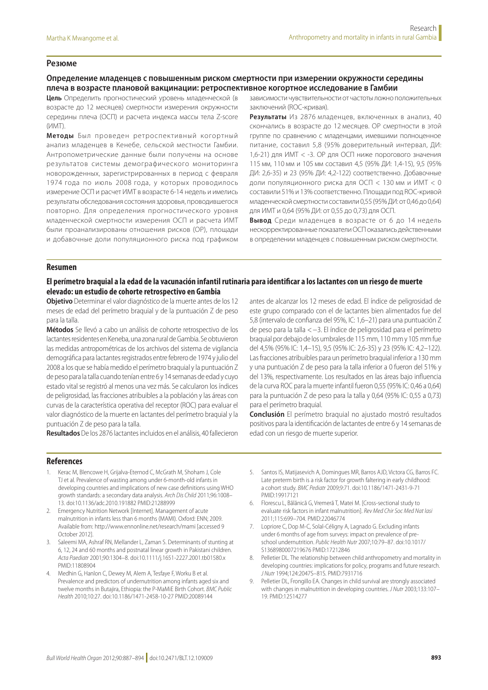#### **Резюме**

#### **Определение младенцев с повышенным риском смертности при измерении окружности середины плеча в возрасте плановой вакцинации: ретроспективное когортное исследование в Гамбии**

**Цель** Определить прогностический уровень младенческой (в возрасте до 12 месяцев) смертности измерения окружности середины плеча (ОСП) и расчета индекса массы тела Z-score  $($  $MMT)$ 

**Методы** Был проведен ретроспективный когортный анализ младенцев в Кенебе, сельской местности Гамбии. Антропометрические данные были получены на основе результатов системы демографического мониторинга новорожденных, зарегистрированных в период с февраля 1974 года по июль 2008 года, у которых проводилось измерение ОСП и расчет ИМТ в возрасте 6-14 недель и имелись результаты обследования состояния здоровья, проводившегося повторно. Для определения прогностического уровня младенческой смертности измерения ОСП и расчета ИМТ были проанализированы отношения рисков (ОР), площади и добавочные доли популяционного риска под графиком

зависимости чувствительности от частоты ложно положительных заключений (ROC-кривая).

**Результаты** Из 2876 младенцев, включенных в анализ, 40 скончались в возрасте до 12 месяцев. ОР смертности в этой группе по сравнению с младенцами, имевшими полноценное питание, составил 5,8 (95% доверительный интервал, ДИ: 1,6-21) для ИМТ < -3. ОР для ОСП ниже порогового значения 115 мм, 110 мм и 105 мм составил 4,5 (95% ДИ: 1,4-15), 9,5 (95% ДИ: 2,6-35) и 23 (95% ДИ: 4,2-122) соответственно. Добавочные доли популяционного риска для ОСП < 130 мм и ИМТ < 0 составили 51% и 13% соответственно. Площади под ROC-кривой младенческой смертности составили 0,55 (95% ДИ: от 0,46 до 0,64) для ИМТ и 0,64 (95% ДИ: от 0,55 до 0,73) для ОСП.

**Вывод** Среди младенцев в возрасте от 6 до 14 недель нескорректированные показатели ОСП оказались действенными в определении младенцев с повышенным риском смертности.

#### **Resumen**

## **El perímetro braquial a la edad de la vacunación infantil rutinaria para identificar a los lactantes con un riesgo de muerte elevado: un estudio de cohorte retrospectivo en Gambia**

**Objetivo** Determinar el valor diagnóstico de la muerte antes de los 12 meses de edad del perímetro braquial y de la puntuación Z de peso para la talla.

**Métodos** Se llevó a cabo un análisis de cohorte retrospectivo de los lactantes residentes en Keneba, una zona rural de Gambia. Se obtuvieron las medidas antropométricas de los archivos del sistema de vigilancia demográfica para lactantes registrados entre febrero de 1974 y julio del 2008 a los que se había medido el perímetro braquial y la puntuación Z de peso para la talla cuando tenían entre 6 y 14 semanas de edad y cuyo estado vital se registró al menos una vez más. Se calcularon los índices de peligrosidad, las fracciones atribuibles a la población y las áreas con curvas de la característica operativa del receptor (ROC) para evaluar el valor diagnóstico de la muerte en lactantes del perímetro braquial y la puntuación Z de peso para la talla.

**Resultados** De los 2876 lactantes incluidos en el análisis, 40 fallecieron

antes de alcanzar los 12 meses de edad. El índice de peligrosidad de este grupo comparado con el de lactantes bien alimentados fue del 5,8 (intervalo de confianza del 95%, IC: 1,6–21) para una puntuación Z de peso para la talla <−3. El índice de peligrosidad para el perímetro braquial por debajo de los umbrales de 115 mm, 110 mm y 105 mm fue del 4,5% (95% IC: 1,4–15), 9,5 (95% IC: 2,6-35) y 23 (95% IC: 4,2–122). Las fracciones atribuibles para un perímetro braquial inferior a 130 mm y una puntuación Z de peso para la talla inferior a 0 fueron del 51% y del 13%, respectivamente. Los resultados en las áreas bajo influencia de la curva ROC para la muerte infantil fueron 0,55 (95% IC: 0,46 a 0,64) para la puntuación Z de peso para la talla y 0,64 (95% IC: 0,55 a 0,73) para el perímetro braquial.

**Conclusión** El perímetro braquial no ajustado mostró resultados positivos para la identificación de lactantes de entre 6 y 14 semanas de edad con un riesgo de muerte superior.

#### **References**

- <span id="page-6-0"></span>1. Kerac M, Blencowe H, Grijalva-Eternod C, McGrath M, Shoham J, Cole TJ et al. Prevalence of wasting among under 6-month-old infants in developing countries and implications of new case definitions using WHO growth standards: a secondary data analysis. *Arch Dis Child* 2011;96:1008– 13. doi:[10.1136/adc.2010.191882](http://dx.doi.org/10.1136/adc.2010.191882) PMID:[21288999](http://www.ncbi.nlm.nih.gov/pubmed/21288999)
- <span id="page-6-1"></span>2. Emergency Nutrition Network [Internet]. Management of acute malnutrition in infants less than 6 months (MAMI). Oxford: ENN; 2009. Available from: http://www.ennonline.net/research/mami [accessed 9 October 2012].
- <span id="page-6-2"></span>3. Saleemi MA, Ashraf RN, Mellander L, Zaman S. Determinants of stunting at 6, 12, 24 and 60 months and postnatal linear growth in Pakistani children. *Acta Paediatr* 2001;90:1304–8. doi:[10.1111/j.1651-2227.2001.tb01580.x](http://dx.doi.org/10.1111/j.1651-2227.2001.tb01580.x) PMID:[11808904](http://www.ncbi.nlm.nih.gov/pubmed/11808904)
- 4. Medhin G, Hanlon C, Dewey M, Alem A, Tesfaye F, Worku B et al. Prevalence and predictors of undernutrition among infants aged six and twelve months in Butajira, Ethiopia: the P-MaMiE Birth Cohort. *BMC Public Health* 2010;10:27. doi[:10.1186/1471-2458-10-27](http://dx.doi.org/10.1186/1471-2458-10-27) PMID:[20089144](http://www.ncbi.nlm.nih.gov/pubmed/20089144)
- <span id="page-6-3"></span>5. Santos IS, Matijasevich A, Domingues MR, Barros AJD, Victora CG, Barros FC. Late preterm birth is a risk factor for growth faltering in early childhood: a cohort study. *BMC Pediatr* 2009;9:71. doi:[10.1186/1471-2431-9-71](http://dx.doi.org/10.1186/1471-2431-9-71) PMID:[19917121](http://www.ncbi.nlm.nih.gov/pubmed/19917121)
- <span id="page-6-4"></span>6. Florescu L, Bălănică G, Vremeră T, Matei M. [Cross-sectional study to evaluate risk factors in infant malnutrition]. *Rev Med Chir Soc Med Nat Iasi* 2011;115:699–704. PMID[:22046774](http://www.ncbi.nlm.nih.gov/pubmed/22046774)
- <span id="page-6-5"></span>7. Lopriore C, Dop M-C, Solal-Céligny A, Lagnado G. Excluding infants under 6 months of age from surveys: impact on prevalence of preschool undernutrition. *Public Health Nutr* 2007;10:79–87. doi:[10.1017/](http://dx.doi.org/10.1017/S1368980007219676) [S1368980007219676](http://dx.doi.org/10.1017/S1368980007219676) PMID[:17212846](http://www.ncbi.nlm.nih.gov/pubmed/17212846)
- <span id="page-6-6"></span>8. Pelletier DL. The relationship between child anthropometry and mortality in developing countries: implications for policy, programs and future research. *J Nutr* 1994;124:2047S–81S. PMID[:7931716](http://www.ncbi.nlm.nih.gov/pubmed/7931716)
- 9. Pelletier DL, Frongillo EA. Changes in child survival are strongly associated with changes in malnutrition in developing countries. *J Nutr* 2003;133:107– 19. PMID[:12514277](http://www.ncbi.nlm.nih.gov/pubmed/12514277)